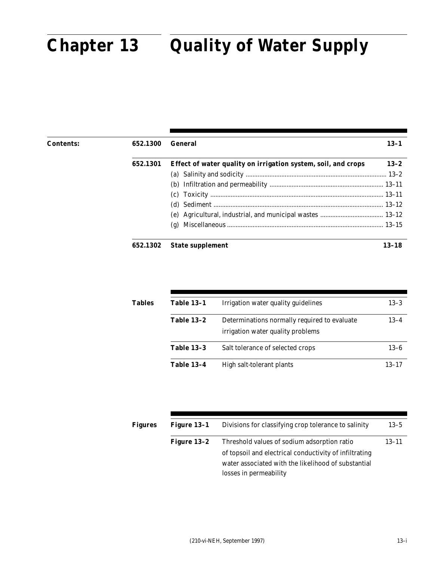#### Part 652 arsum **Chapter 13 Quality of Water Supply Chapter 13 Quality of Water Supply**

| <b>Contents:</b> | 652.1300 | General                                                       | $13 - 1$ |
|------------------|----------|---------------------------------------------------------------|----------|
|                  | 652.1301 | Effect of water quality on irrigation system, soil, and crops | $13 - 2$ |
|                  |          |                                                               |          |
|                  |          |                                                               |          |
|                  |          |                                                               |          |
|                  |          |                                                               |          |
|                  |          |                                                               |          |
|                  |          |                                                               |          |
|                  | 652.1302 | <b>State supplement</b>                                       | 13–18    |

| <b>Tables</b> | <b>Table 13-1</b> | Irrigation water quality guidelines                                               | $13 - 3$  |
|---------------|-------------------|-----------------------------------------------------------------------------------|-----------|
|               | <b>Table 13-2</b> | Determinations normally required to evaluate<br>irrigation water quality problems | $13 - 4$  |
|               | <b>Table 13-3</b> | Salt tolerance of selected crops                                                  | $13 - 6$  |
|               | <b>Table 13-4</b> | High salt-tolerant plants                                                         | $13 - 17$ |

| <b>Figures</b> | Figure 13-1   | Divisions for classifying crop tolerance to salinity   | $13 - 5$  |
|----------------|---------------|--------------------------------------------------------|-----------|
|                | Figure $13-2$ | Threshold values of sodium adsorption ratio            | $13 - 11$ |
|                |               | of topsoil and electrical conductivity of infiltrating |           |
|                |               | water associated with the likelihood of substantial    |           |
|                |               | losses in permeability                                 |           |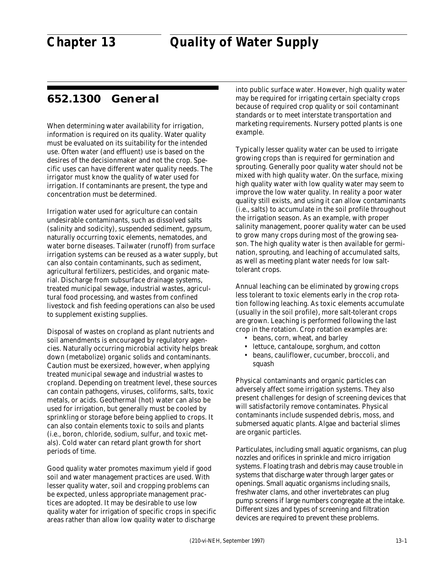## **652.1300 General**

When determining water availability for irrigation, information is required on its quality. Water quality must be evaluated on its suitability for the intended use. Often water (and effluent) use is based on the desires of the decisionmaker and not the crop. Specific uses can have different water quality needs. The irrigator must know the quality of water used for irrigation. If contaminants are present, the type and concentration must be determined.

Irrigation water used for agriculture can contain undesirable contaminants, such as dissolved salts (salinity and sodicity), suspended sediment, gypsum, naturally occurring toxic elements, nematodes, and water borne diseases. Tailwater (runoff) from surface irrigation systems can be reused as a water supply, but can also contain contaminants, such as sediment, agricultural fertilizers, pesticides, and organic material. Discharge from subsurface drainage systems, treated municipal sewage, industrial wastes, agricultural food processing, and wastes from confined livestock and fish feeding operations can also be used to supplement existing supplies.

Disposal of wastes on cropland as plant nutrients and soil amendments is encouraged by regulatory agencies. Naturally occurring microbial activity helps break down (metabolize) organic solids and contaminants. Caution must be exersized, however, when applying treated municipal sewage and industrial wastes to cropland. Depending on treatment level, these sources can contain pathogens, viruses, coliforms, salts, toxic metals, or acids. Geothermal (hot) water can also be used for irrigation, but generally must be cooled by sprinkling or storage before being applied to crops. It can also contain elements toxic to soils and plants (i.e., boron, chloride, sodium, sulfur, and toxic metals). Cold water can retard plant growth for short periods of time.

Good quality water promotes maximum yield if good soil and water management practices are used. With lesser quality water, soil and cropping problems can be expected, unless appropriate management practices are adopted. It may be desirable to use low quality water for irrigation of specific crops in specific areas rather than allow low quality water to discharge

into public surface water. However, high quality water may be required for irrigating certain specialty crops because of required crop quality or soil contaminant standards or to meet interstate transportation and marketing requirements. Nursery potted plants is one example.

Typically lesser quality water can be used to irrigate growing crops than is required for germination and sprouting. Generally poor quality water should not be mixed with high quality water. On the surface, mixing high quality water with low quality water may seem to improve the low water quality. In reality a poor water quality still exists, and using it can allow contaminants (i.e., salts) to accumulate in the soil profile throughout the irrigation season. As an example, with proper salinity management, poorer quality water can be used to grow many crops during most of the growing season. The high quality water is then available for germination, sprouting, and leaching of accumulated salts, as well as meeting plant water needs for low salttolerant crops.

Annual leaching can be eliminated by growing crops less tolerant to toxic elements early in the crop rotation following leaching. As toxic elements accumulate (usually in the soil profile), more salt-tolerant crops are grown. Leaching is performed following the last crop in the rotation. Crop rotation examples are:

- beans, corn, wheat, and barley
- lettuce, cantaloupe, sorghum, and cotton
- beans, cauliflower, cucumber, broccoli, and squash

Physical contaminants and organic particles can adversely affect some irrigation systems. They also present challenges for design of screening devices that will satisfactorily remove contaminates. Physical contaminants include suspended debris, moss, and submersed aquatic plants. Algae and bacterial slimes are organic particles.

Particulates, including small aquatic organisms, can plug nozzles and orifices in sprinkle and micro irrigation systems. Floating trash and debris may cause trouble in systems that discharge water through larger gates or openings. Small aquatic organisms including snails, freshwater clams, and other invertebrates can plug pump screens if large numbers congregate at the intake. Different sizes and types of screening and filtration devices are required to prevent these problems.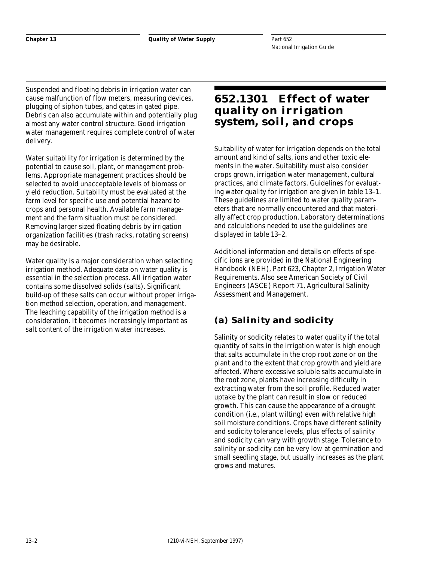Suspended and floating debris in irrigation water can cause malfunction of flow meters, measuring devices, plugging of siphon tubes, and gates in gated pipe. Debris can also accumulate within and potentially plug almost any water control structure. Good irrigation water management requires complete control of water delivery.

Water suitability for irrigation is determined by the potential to cause soil, plant, or management problems. Appropriate management practices should be selected to avoid unacceptable levels of biomass or yield reduction. Suitability must be evaluated at the farm level for specific use and potential hazard to crops and personal health. Available farm management and the farm situation must be considered. Removing larger sized floating debris by irrigation organization facilities (trash racks, rotating screens) may be desirable.

Water quality is a major consideration when selecting irrigation method. Adequate data on water quality is essential in the selection process. All irrigation water contains some dissolved solids (salts). Significant build-up of these salts can occur without proper irrigation method selection, operation, and management. The leaching capability of the irrigation method is a consideration. It becomes increasingly important as salt content of the irrigation water increases.

## **652.1301 Effect of water quality on irrigation system, soil, and crops**

Suitability of water for irrigation depends on the total amount and kind of salts, ions and other toxic elements in the water. Suitability must also consider crops grown, irrigation water management, cultural practices, and climate factors. Guidelines for evaluating water quality for irrigation are given in table 13–1. These guidelines are limited to water quality parameters that are normally encountered and that materially affect crop production. Laboratory determinations and calculations needed to use the guidelines are displayed in table 13–2.

Additional information and details on effects of specific ions are provided in the National Engineering Handbook (NEH), Part 623, Chapter 2, Irrigation Water Requirements. Also see American Society of Civil Engineers (ASCE) Report 71, Agricultural Salinity Assessment and Management.

## **(a) Salinity and sodicity**

Salinity or sodicity relates to water quality if the total quantity of salts in the irrigation water is high enough that salts accumulate in the crop root zone or on the plant and to the extent that crop growth and yield are affected. Where excessive soluble salts accumulate in the root zone, plants have increasing difficulty in extracting water from the soil profile. Reduced water uptake by the plant can result in slow or reduced growth. This can cause the appearance of a drought condition (i.e., plant wilting) even with relative high soil moisture conditions. Crops have different salinity and sodicity tolerance levels, plus effects of salinity and sodicity can vary with growth stage. Tolerance to salinity or sodicity can be very low at germination and small seedling stage, but usually increases as the plant grows and matures.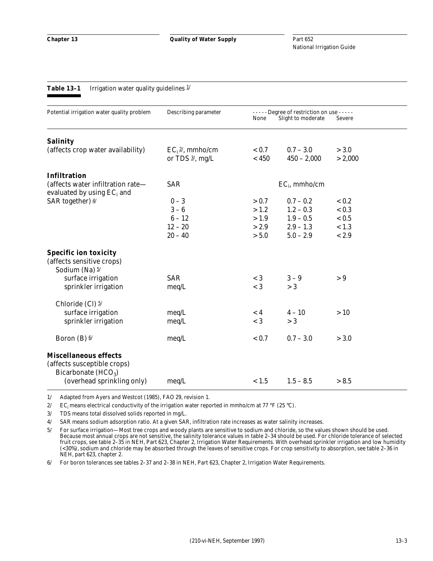**Table 13-1** Irrigation water quality guidelines  $\frac{1}{2}$ 

## Potential irrigation water quality problem Describing parameter -----Degree of restriction on use -----None Slight to moderate Severe **Salinity** (affects crop water availability)  $EC_i^2$ , mmho/cm  $\langle 0.7 \rangle - 3.0 \rangle > 3.0$ or TDS  $\frac{3}{2}$ , mg/L  $\leq 450$   $450 - 2{,}000$   $> 2{,}000$ **Infiltration** (affects water infiltration rate—  $SAR$  EC<sub>i</sub>, mmho/cm evaluated by using EC<sub>i</sub> and SAR together)  $\frac{4}{10}$  0 – 3  $\frac{0.7}{0.7}$  – 0.2  $\frac{0.2}{0.2}$  – 0.2  $3-6$   $>1.2$   $1.2-0.3$   $< 0.3$  $6 - 12$   $> 1.9$   $1.9 - 0.5$   $< 0.5$  $12 - 20$   $> 2.9$   $2.9 - 1.3$   $< 1.3$  $20 - 40$   $> 5.0$   $5.0 - 2.9$   $< 2.9$ **Specific ion toxicity** (affects sensitive crops) Sodium (Na)  $\frac{5}{3}$ surface irrigation  $SAR$   $\leq 3$   $3-9$   $>9$ sprinkler irrigation meq/L  $\sim 3$   $> 3$ Chloride (Cl)  $\frac{5}{1}$ surface irrigation meq/L  $\leq 4$   $4-10$   $> 10$

1/ Adapted from Ayers and Westcot (1985), FAO 29, revision 1.

2/ EC<sub>i</sub> means electrical conductivity of the irrigation water reported in mmho/cm at 77 °F (25 °C).

3/ TDS means total dissolved solids reported in mg/L.

**Miscellaneous effects** (affects susceptible crops) Bicarbonate  $(HCO<sub>3</sub>)$ 

4/ SAR means sodium adsorption ratio. At a given SAR, infiltration rate increases as water salinity increases.

sprinkler irrigation meq/L  $\leq 3 > 3$ 

Boron (B)  $\frac{6}{5}$  (B)  $\frac{6}{5}$  meq/L  $\frac{6.7}{5}$  - 3.0  $\frac{3.0}{5}$  - 3.0

(overhead sprinkling only)  $meq/L$   $< 1.5$   $1.5 - 8.5$   $> 8.5$ 

5/ For surface irrigation—Most tree crops and woody plants are sensitive to sodium and chloride, so the values shown should be used. Because most annual crops are not sensitive, the salinity tolerance values in table 2–34 should be used. For chloride tolerance of selected fruit crops, see table 2–35 in NEH, Part 623, Chapter 2, Irrigation Water Requirements. With overhead sprinkler irrigation and low humidity (<30%), sodium and chloride may be absorbed through the leaves of sensitive crops. For crop sensitivity to absorption, see table 2–36 in NEH, part 623, chapter 2.

6/ For boron tolerances see tables 2–37 and 2–38 in NEH, Part 623, Chapter 2, Irrigation Water Requirements.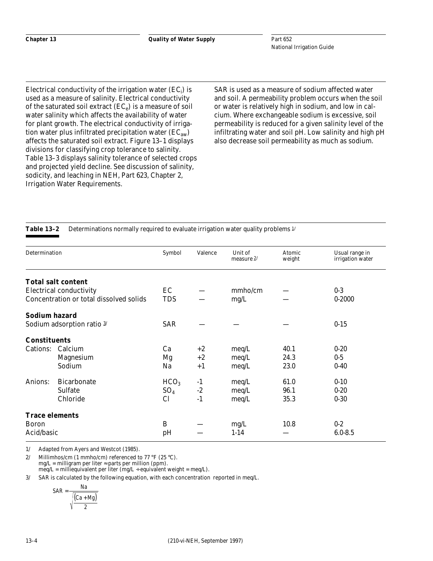Electrical conductivity of the irrigation water  $\left( {EC_{\rm i}} \right)$  is used as a measure of salinity. Electrical conductivity of the saturated soil extract  $(EC_e)$  is a measure of soil water salinity which affects the availability of water for plant growth. The electrical conductivity of irrigation water plus infiltrated precipitation water  $(EC_{aw})$ affects the saturated soil extract. Figure 13–1 displays divisions for classifying crop tolerance to salinity. Table 13–3 displays salinity tolerance of selected crops and projected yield decline. See discussion of salinity, sodicity, and leaching in NEH, Part 623, Chapter 2, Irrigation Water Requirements.

SAR is used as a measure of sodium affected water and soil. A permeability problem occurs when the soil or water is relatively high in sodium, and low in calcium. Where exchangeable sodium is excessive, soil permeability is reduced for a given salinity level of the infiltrating water and soil pH. Low salinity and high pH also decrease soil permeability as much as sodium.

**Table 13–2** Determinations normally required to evaluate irrigation water quality problems 1/

| Determination         |                                         | Symbol           | Valence | Unit of<br>measure $2/$ | Atomic<br>weight | Usual range in<br>irrigation water |
|-----------------------|-----------------------------------------|------------------|---------|-------------------------|------------------|------------------------------------|
|                       | <b>Total salt content</b>               |                  |         |                         |                  |                                    |
|                       | <b>Electrical conductivity</b>          | EC               |         | mmho/cm                 |                  | $0-3$                              |
|                       | Concentration or total dissolved solids | <b>TDS</b>       |         | mg/L                    |                  | $0 - 2000$                         |
| Sodium hazard         |                                         |                  |         |                         |                  |                                    |
|                       | Sodium adsorption ratio 3/              | <b>SAR</b>       |         |                         |                  | $0 - 15$                           |
| <b>Constituents</b>   |                                         |                  |         |                         |                  |                                    |
| Cations:              | Calcium                                 | Ca               | $+2$    | meq/L                   | 40.1             | $0 - 20$                           |
|                       | <b>Magnesium</b>                        | Mg               | $+2$    | meq/L                   | 24.3             | $0-5$                              |
|                       | Sodium                                  | Na               | $+1$    | meq/L                   | 23.0             | $0 - 40$                           |
| Anions:               | <b>Bicarbonate</b>                      | HCO <sub>3</sub> | $-1$    | meq/L                   | 61.0             | $0 - 10$                           |
|                       | <b>Sulfate</b>                          | SO <sub>4</sub>  | $-2$    | meq/L                   | 96.1             | $0 - 20$                           |
|                       | Chloride                                | <b>Cl</b>        | $-1$    | meq/L                   | 35.3             | $0 - 30$                           |
| <b>Trace elements</b> |                                         |                  |         |                         |                  |                                    |
| <b>Boron</b>          |                                         | B                |         | mg/L                    | 10.8             | $0-2$                              |
| Acid/basic            |                                         | pH               |         | $1 - 14$                |                  | $6.0 - 8.5$                        |

1/ Adapted from Ayers and Westcot (1985).

2/ Millimhos/cm (1 mmho/cm) referenced to 77 °F (25 °C). mg/L = milligram per liter ≈ parts per million (ppm). meq/L = milliequivalent per liter (mg/L ÷ equivalent weight = meq/L).

3/ SAR is calculated by the following equation, with each concentration reported in meq/L.

$$
SAR = \frac{Na}{\sqrt{\frac{(Ca + Mg)}{2}}}
$$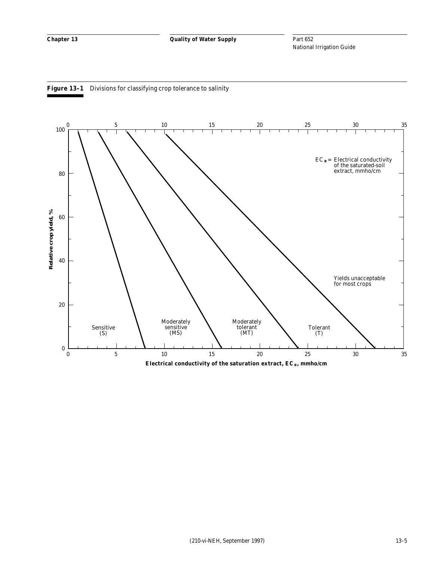



**Electrical conductivity of the saturation extract, EC , mmho/cm e**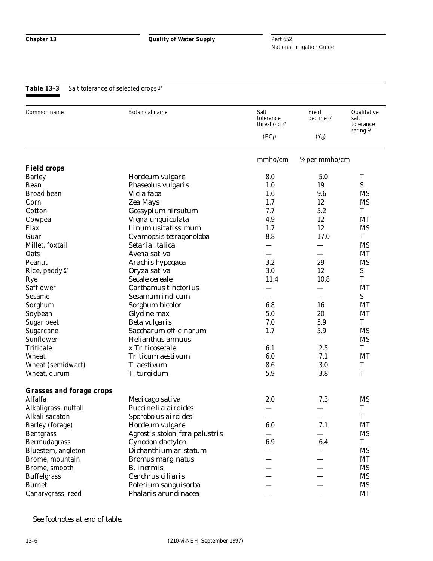## Table 13-3 Salt tolerance of selected crops  $1/$

| Common name                     | <b>Botanical name</b>          | Salt<br>tolerance<br>threshold $2/$ | Yield<br>decline 3/ | Qualitative<br>salt<br>tolerance<br>rating $\frac{4}{3}$ |
|---------------------------------|--------------------------------|-------------------------------------|---------------------|----------------------------------------------------------|
|                                 |                                | $(EC_t)$                            | $(Y_d)$             |                                                          |
|                                 |                                | mmho/cm                             | % per mmho/cm       |                                                          |
| <b>Field crops</b>              |                                |                                     |                     |                                                          |
| <b>Barley</b>                   | Hordeum vulgare                | 8.0                                 | 5.0                 | T                                                        |
| Bean                            | Phaseolus vulgaris             | 1.0                                 | 19                  | S                                                        |
| <b>Broad bean</b>               | Vicia faba                     | 1.6                                 | 9.6                 | <b>MS</b>                                                |
| Corn                            | Zea Mays                       | 1.7                                 | 12                  | <b>MS</b>                                                |
| Cotton                          | Gossypium hirsutum             | 7.7                                 | 5.2                 | T                                                        |
| Cowpea                          | Vigna unguiculata              | 4.9                                 | 12                  | <b>MT</b>                                                |
| Flax                            | Linum usitatissimum            | 1.7                                 | 12                  | <b>MS</b>                                                |
| Guar                            | Cyamopsis tetragonoloba        | 8.8                                 | 17.0                | T                                                        |
| Millet, foxtail                 | Setaria italica                |                                     |                     | <b>MS</b>                                                |
| Oats                            | Avena sativa                   |                                     |                     | MT                                                       |
| Peanut                          | Arachis hypogaea               | 3.2                                 | 29                  | <b>MS</b>                                                |
| Rice, paddy 5/                  | Oryza sativa                   | 3.0                                 | 12                  | ${\mathbf S}$                                            |
| Rye                             | Secale cereale                 | 11.4                                | 10.8                | T                                                        |
| <b>Safflower</b>                | Carthamus tinctorius           |                                     |                     | MT                                                       |
| <b>Sesame</b>                   | Sesamum indicum                |                                     |                     | S                                                        |
| Sorghum                         | Sorghum bicolor                | 6.8                                 | 16                  | <b>MT</b>                                                |
| Soybean                         | Glycine max                    | 5.0                                 | 20                  | MT                                                       |
| <b>Sugar beet</b>               | <b>Beta vulgaris</b>           | 7.0                                 | 5.9                 | T                                                        |
| Sugarcane                       | Saccharum officinarum          | 1.7                                 | 5.9                 | <b>MS</b>                                                |
| Sunflower                       | <b>Helianthus annuus</b>       |                                     |                     | <b>MS</b>                                                |
| <b>Triticale</b>                | x Triticosecale                | 6.1                                 | 2.5                 | T                                                        |
| Wheat                           | <b>Triticum</b> aestivum       | 6.0                                 | 7.1                 | MT                                                       |
| Wheat (semidwarf)               | T. aestivum                    | 8.6                                 | 3.0                 | T                                                        |
| Wheat, durum                    | T. turgidum                    | 5.9                                 | 3.8                 | T                                                        |
| <b>Grasses and forage crops</b> |                                |                                     |                     |                                                          |
| Alfalfa                         | Medicago sativa                | 2.0                                 | 7.3                 | <b>MS</b>                                                |
| Alkaligrass, nuttall            | Puccinellia airoides           |                                     |                     | T                                                        |
| Alkali sacaton                  | Sporobolus airoides            |                                     |                     | T                                                        |
| Barley (forage)                 | Hordeum vulgare                | 6.0                                 | 7.1                 | <b>MT</b>                                                |
| <b>Bentgrass</b>                | Agrostis stolonifera palustris |                                     |                     | <b>MS</b>                                                |
| Bermudagrass                    | Cynodon dactylon               | 6.9                                 | 6.4                 | T                                                        |
| Bluestem, angleton              | Dichanthium aristatum          |                                     |                     | <b>MS</b>                                                |
| Brome, mountain                 | <b>Bromus marginatus</b>       |                                     |                     | <b>MT</b>                                                |
| Brome, smooth                   | <b>B.</b> inermis              |                                     |                     | <b>MS</b>                                                |
| <b>Buffelgrass</b>              | Cenchrus ciliaris              |                                     |                     | <b>MS</b>                                                |
| <b>Burnet</b>                   | Poterium sanguisorba           |                                     |                     | <b>MS</b>                                                |
| Canarygrass, reed               | Phalaris arundinacea           |                                     |                     | MT                                                       |

*See footnotes at end of table.*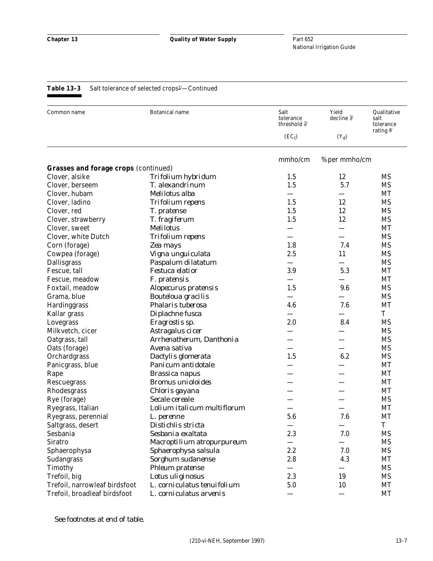| Common name                                   | <b>Botanical name</b>       | Salt<br>tolerance<br>threshold 2/ | Yield<br>decline $3/$ | Qualitative<br>salt<br>tolerance |
|-----------------------------------------------|-----------------------------|-----------------------------------|-----------------------|----------------------------------|
|                                               |                             | $(EC_t)$                          | $(Y_d)$               | rating $\frac{4}{3}$             |
|                                               |                             | mmho/cm                           | % per mmho/cm         |                                  |
| <b>Grasses and forage crops (continued)</b>   |                             |                                   |                       |                                  |
| Clover, alsike                                | Trifolium hybridum          | 1.5                               | 12                    | MS                               |
| Clover, berseem                               | T. alexandrinum             | 1.5                               | 5.7                   | <b>MS</b>                        |
| Clover, hubam                                 | Melilotus alba              |                                   |                       | MT                               |
| Clover, ladino                                | <b>Trifolium</b> repens     | 1.5                               | 12                    | <b>MS</b>                        |
| Clover, red                                   | T. pratense                 | 1.5                               | 12                    | <b>MS</b>                        |
| Clover, strawberry                            | T. fragiferum               | 1.5                               | 12                    | <b>MS</b>                        |
| Clover, sweet                                 | <b>Melilotus</b>            |                                   |                       | MT                               |
| Clover, white Dutch                           | <b>Trifolium</b> repens     |                                   |                       | <b>MS</b>                        |
| Corn (forage)                                 | Zea mays                    | 1.8                               | 7.4                   | <b>MS</b>                        |
| Cowpea (forage)                               | Vigna unguiculata           | 2.5                               | 11                    | <b>MS</b>                        |
| <b>Dallisgrass</b>                            | Paspalum dilatatum          |                                   |                       | <b>MS</b>                        |
| Fescue, tall                                  | Festuca elatior             | 3.9                               | 5.3                   | MT                               |
| Fescue, meadow                                | F. pratensis                |                                   |                       | MT                               |
| Foxtail, meadow                               | Alopecurus pratensis        | 1.5                               | 9.6                   | <b>MS</b>                        |
| Grama, blue                                   | <b>Bouteloua gracilis</b>   |                                   |                       | <b>MS</b>                        |
| Hardinggrass                                  | Phalaris tuberosa           | 4.6                               | 7.6                   | <b>MT</b>                        |
| Kallar grass                                  | Diplachne fusca             |                                   |                       | T                                |
| Lovegrass                                     | Eragrostis sp.              | 2.0                               | 8.4                   | <b>MS</b>                        |
| Milkvetch, cicer                              | Astragalus cicer            |                                   |                       | <b>MS</b>                        |
| Oatgrass, tall                                | Arrhenatherum, Danthonia    |                                   |                       | <b>MS</b>                        |
| Oats (forage)                                 | Avena sativa                |                                   |                       | <b>MS</b>                        |
| Orchardgrass                                  | Dactylis glomerata          | 1.5                               | 6.2                   | <b>MS</b>                        |
| Panicgrass, blue                              | Panicum antidotale          |                                   |                       | MT                               |
| Rape                                          | <b>Brassica</b> napus       |                                   |                       | MT                               |
| Rescuegrass                                   | <b>Bromus</b> unioloides    |                                   |                       | MT                               |
| Rhodesgrass                                   | Chloris gayana              |                                   |                       | <b>MT</b>                        |
| Rye (forage)                                  | Secale cereale              |                                   |                       | <b>MS</b>                        |
| Ryegrass, Italian                             | Lolium italicum multiflorum |                                   |                       | <b>MT</b>                        |
| Ryegrass, perennial                           | L. perenne                  | 5.6                               | 7.6                   | MT                               |
| Saltgrass, desert                             | Distichlis stricta          |                                   |                       | $\mathbf T$                      |
| Sesbania                                      | Sesbania exaltata           | 2.3                               | 7.0                   | <b>MS</b>                        |
| <b>Siratro</b>                                | Macroptilium atropurpureum  |                                   |                       | <b>MS</b>                        |
| Sphaerophysa                                  | Sphaerophysa salsula        | 2.2                               | 7.0                   | <b>MS</b>                        |
| Sudangrass                                    | Sorghum sudanense           | 2.8                               | 4.3                   | <b>MT</b>                        |
|                                               |                             |                                   |                       | <b>MS</b>                        |
| Timothy                                       | <b>Phleum</b> pratense      | 2.3                               | 19                    | <b>MS</b>                        |
| Trefoil, big<br>Trefoil, narrowleaf birdsfoot | Lotus uliginosus            |                                   |                       |                                  |
|                                               | L. corniculatus tenuifolium | 5.0                               | 10                    | <b>MT</b>                        |
| Trefoil, broadleaf birdsfoot                  | L. corniculatus arvenis     |                                   |                       | <b>MT</b>                        |

*See footnotes at end of table.*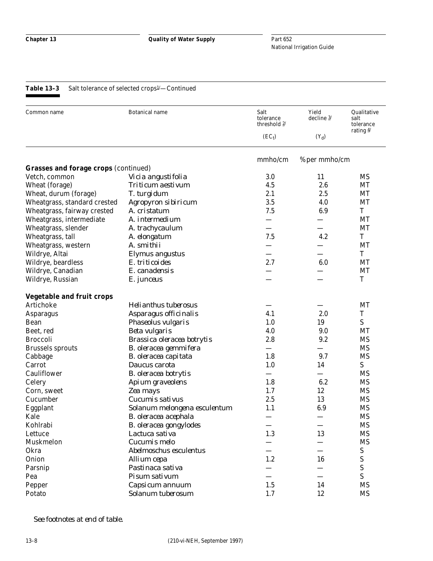| Common name                                 | <b>Botanical name</b>        | Salt<br>tolerance<br>threshold $2/$ | Yield<br>decline $3/$ | Qualitative<br>salt<br>tolerance<br>rating $\frac{4}{3}$ |
|---------------------------------------------|------------------------------|-------------------------------------|-----------------------|----------------------------------------------------------|
|                                             |                              | $(EC_t)$                            | $(Y_d)$               |                                                          |
|                                             |                              | mmho/cm                             | % per mmho/cm         |                                                          |
| <b>Grasses and forage crops (continued)</b> |                              |                                     |                       |                                                          |
| Vetch, common                               | Vicia angustifolia           | 3.0                                 | 11                    | MS                                                       |
| Wheat (forage)                              | Triticum aestivum            | 4.5                                 | 2.6                   | MT                                                       |
| Wheat, durum (forage)                       | T. turgidum                  | 2.1                                 | 2.5                   | MT                                                       |
| Wheatgrass, standard crested                | Agropyron sibiricum          | 3.5                                 | 4.0                   | MT                                                       |
| Wheatgrass, fairway crested                 | A. cristatum                 | 7.5                                 | 6.9                   | T                                                        |
| Wheatgrass, intermediate                    | A. intermedium               |                                     |                       | MT                                                       |
| Wheatgrass, slender                         | A. trachycaulum              |                                     |                       | MT                                                       |
| Wheatgrass, tall                            | A. elongatum                 | 7.5                                 | 4.2                   | T                                                        |
| Wheatgrass, western                         | A. smithii                   |                                     |                       | MT                                                       |
| Wildrye, Altai                              | Elymus angustus              |                                     |                       | T                                                        |
| Wildrye, beardless                          | E. triticoides               | 2.7                                 | 6.0                   | MT                                                       |
| Wildrye, Canadian                           | E. canadensis                |                                     |                       | MT                                                       |
| Wildrye, Russian                            | E. junceus                   |                                     |                       | T                                                        |
| <b>Vegetable and fruit crops</b>            |                              |                                     |                       |                                                          |
| Artichoke                                   | <b>Helianthus tuberosus</b>  |                                     |                       | MT                                                       |
| <b>Asparagus</b>                            | Asparagus officinalis        | 4.1                                 | 2.0                   | T                                                        |
| Bean                                        | Phaseolus vulgaris           | 1.0                                 | 19                    | S                                                        |
| Beet, red                                   | <b>Beta vulgaris</b>         | 4.0                                 | 9.0                   | MT                                                       |
| <b>Broccoli</b>                             | Brassica oleracea botrytis   | 2.8                                 | 9.2                   | <b>MS</b>                                                |
| <b>Brussels sprouts</b>                     | B. oleracea gemmifera        |                                     |                       | <b>MS</b>                                                |
| Cabbage                                     | B. oleracea capitata         | 1.8                                 | 9.7                   | <b>MS</b>                                                |
| Carrot                                      | Daucus carota                | 1.0                                 | 14                    | ${\bf S}$                                                |
| Cauliflower                                 | <b>B.</b> oleracea botrytis  |                                     |                       | <b>MS</b>                                                |
| Celery                                      | Apium graveolens             | 1.8                                 | 6.2                   | <b>MS</b>                                                |
| Corn, sweet                                 | Zea mays                     | 1.7                                 | 12                    | <b>MS</b>                                                |
| Cucumber                                    | Cucumis sativus              | 2.5                                 | 13                    | <b>MS</b>                                                |
| Eggplant                                    | Solanum melongena esculentum | 1.1                                 | 6.9                   | <b>MS</b>                                                |
| Kale                                        | B. oleracea acephala         |                                     |                       | <b>MS</b>                                                |
| Kohlrabi                                    | B. oleracea gongylodes       |                                     |                       | MS                                                       |
| Lettuce                                     | Lactuca sativa               | 1.3                                 | 13                    | <b>MS</b>                                                |
| Muskmelon                                   | Cucumis melo                 |                                     |                       | <b>MS</b>                                                |
| Okra                                        | Abelmoschus esculentus       |                                     |                       | S                                                        |
| Onion                                       | Allium cepa                  | 1.2                                 | 16                    | ${\bf S}$                                                |
| Parsnip                                     | Pastinaca sativa             |                                     |                       | ${\bf S}$                                                |
| Pea                                         | Pisum sativum                |                                     |                       | S                                                        |
| Pepper                                      | Capsicum annuum              | 1.5                                 | 14                    | <b>MS</b>                                                |
| Potato                                      | Solanum tuberosum            | 1.7                                 | 12                    | <b>MS</b>                                                |

*See footnotes at end of table.*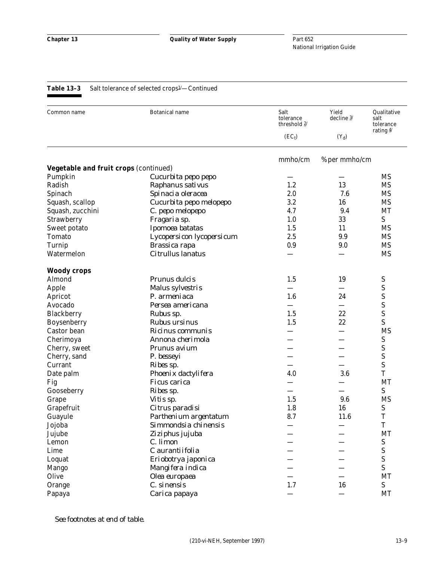| Common name                           | <b>Botanical name</b>     | Salt<br>tolerance<br>threshold 2/ | Yield<br>decline $3/$ | Qualitative<br>salt<br>tolerance<br>rating $4/$ |
|---------------------------------------|---------------------------|-----------------------------------|-----------------------|-------------------------------------------------|
|                                       |                           | $(EC_t)$                          | $(Y_d)$               |                                                 |
|                                       |                           | mmho/cm                           | % per mmho/cm         |                                                 |
| Vegetable and fruit crops (continued) |                           |                                   |                       |                                                 |
| Pumpkin                               | Cucurbita pepo pepo       |                                   |                       | <b>MS</b>                                       |
| Radish                                | Raphanus sativus          | 1.2                               | 13                    | <b>MS</b>                                       |
| Spinach                               | Spinacia oleracea         | 2.0                               | 7.6                   | <b>MS</b>                                       |
| Squash, scallop                       | Cucurbita pepo melopepo   | 3.2                               | 16                    | <b>MS</b>                                       |
| Squash, zucchini                      | C. pepo melopepo          | 4.7                               | 9.4                   | MT                                              |
| Strawberry                            | Fragaria sp.              | 1.0                               | 33                    | S                                               |
| Sweet potato                          | Ipomoea batatas           | 1.5                               | 11                    | <b>MS</b>                                       |
| <b>Tomato</b>                         | Lycopersicon lycopersicum | 2.5                               | 9.9                   | <b>MS</b>                                       |
| Turnip                                | <b>Brassica rapa</b>      | 0.9                               | 9.0                   | <b>MS</b>                                       |
| Watermelon                            | Citrullus lanatus         |                                   |                       | <b>MS</b>                                       |
| <b>Woody crops</b>                    |                           |                                   |                       |                                                 |
| Almond                                | <b>Prunus dulcis</b>      | 1.5                               | 19                    | S                                               |
| Apple                                 | Malus sylvestris          |                                   |                       | ${\bf S}$                                       |
| Apricot                               | P. armeniaca              | 1.6                               | 24                    | ${\bf S}$                                       |
| Avocado                               | Persea americana          |                                   |                       | S                                               |
| Blackberry                            | Rubus sp.                 | 1.5                               | 22                    | ${\bf S}$                                       |
| Boysenberry                           | <b>Rubus ursinus</b>      | 1.5                               | 22                    | S                                               |
| Castor bean                           | Ricinus communis          |                                   |                       | <b>MS</b>                                       |
| Cherimoya                             | Annona cherimola          |                                   |                       | ${\mathbf S}$                                   |
| Cherry, sweet                         | Prunus avium              |                                   |                       | ${\mathbf S}$                                   |
| Cherry, sand                          | P. besseyi                |                                   |                       | ${\bf S}$                                       |
| Currant                               | Ribes sp.                 |                                   |                       | ${\bf S}$                                       |
| Date palm                             | Phoenix dactylifera       | 4.0                               | 3.6                   | T                                               |
| Fig                                   | <b>Ficus</b> carica       |                                   |                       | <b>MT</b>                                       |
| Gooseberry                            | Ribes sp.                 |                                   |                       | ${\bf S}$                                       |
| Grape                                 | Vitis sp.                 | 1.5                               | 9.6                   | <b>MS</b>                                       |
| Grapefruit                            | Citrus paradisi           | 1.8                               | 16                    | ${\mathbf S}$                                   |
| Guayule                               | Parthenium argentatum     | 8.7                               | 11.6                  | T                                               |
| Jojoba                                | Simmondsia chinensis      |                                   |                       | $\mathbf T$                                     |
| Jujube                                | Ziziphus jujuba           |                                   |                       | <b>MT</b>                                       |
| Lemon                                 | C. limon                  |                                   |                       | ${\mathbf S}$                                   |
| Lime                                  | C aurantiifolia           |                                   |                       | ${\bf S}$                                       |
| Loquat                                | Eriobotrya japonica       |                                   |                       | ${\bf S}$                                       |
| Mango                                 | Mangifera indica          |                                   |                       | S                                               |
| Olive                                 | Olea europaea             |                                   |                       | <b>MT</b>                                       |
| Orange                                | C. sinensis               | 1.7                               | 16                    | ${\bf S}$                                       |
| Papaya                                | Carica papaya             |                                   |                       | <b>MT</b>                                       |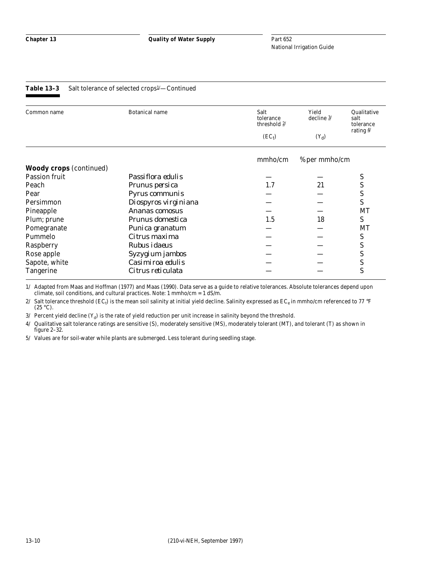| Common name                    | <b>Botanical name</b> | Salt<br>tolerance<br>threshold $2/$ | Yield<br>decline $3/$ | Qualitative<br>salt<br>tolerance |
|--------------------------------|-----------------------|-------------------------------------|-----------------------|----------------------------------|
|                                |                       | $(EC_t)$                            | $(Y_d)$               | rating $4/$                      |
|                                |                       | mmho/cm                             | % per mmho/cm         |                                  |
| <b>Woody crops</b> (continued) |                       |                                     |                       |                                  |
| <b>Passion fruit</b>           | Passiflora edulis     |                                     |                       | S                                |
| Peach                          | Prunus persica        | 1.7                                 | 21                    | S                                |
| Pear                           | Pyrus communis        |                                     |                       | S                                |
| Persimmon                      | Diospyros virginiana  |                                     |                       | S                                |
| Pineapple                      | Ananas comosus        |                                     |                       | MT                               |
| Plum; prune                    | Prunus domestica      | 1.5                                 | 18                    | S                                |
| Pomegranate                    | Punica granatum       |                                     |                       | MT                               |
| Pummelo                        | Citrus maxima         |                                     |                       | S                                |
| Raspberry                      | Rubus <i>idaeus</i>   |                                     |                       | S                                |
| Rose apple                     | Syzygium jambos       |                                     |                       | S                                |
| Sapote, white                  | Casimiroa edulis      |                                     |                       | S                                |
| <b>Tangerine</b>               | Citrus reticulata     |                                     |                       | S                                |

1/ Adapted from Maas and Hoffman (1977) and Maas (1990). Data serve as a guide to relative tolerances. Absolute tolerances depend upon climate, soil conditions, and cultural practices. Note: 1 mmho/cm = 1 dS/m.

2/  $\,$  Salt tolerance threshold (EC<sub>t</sub>) is the mean soil salinity at initial yield decline. Salinity expressed as EC<sub>e</sub> in mmho/cm referenced to 77  $^{\circ}\text{F}$  $(25 \degree C)$ .

3/ Percent yield decline  $(Y_d)$  is the rate of yield reduction per unit increase in salinity beyond the threshold.

4/ Qualitative salt tolerance ratings are sensitive (S), moderately sensitive (MS), moderately tolerant (MT), and tolerant (T) as shown in figure 2–32.

5/ Values are for soil-water while plants are submerged. Less tolerant during seedling stage.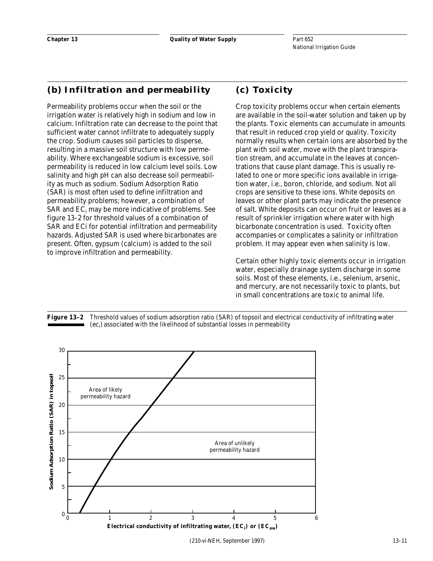## **(b) Infiltration and permeability**

Permeability problems occur when the soil or the irrigation water is relatively high in sodium and low in calcium. Infiltration rate can decrease to the point that sufficient water cannot infiltrate to adequately supply the crop. Sodium causes soil particles to disperse, resulting in a massive soil structure with low permeability. Where exchangeable sodium is excessive, soil permeability is reduced in low calcium level soils. Low salinity and high pH can also decrease soil permeability as much as sodium. Sodium Adsorption Ratio (SAR) is most often used to define infiltration and permeability problems; however, a combination of  $\rm{SAR}$  and  $\rm{EC}_{i}$  may be more indicative of problems. See figure 13–2 for threshold values of a combination of SAR and ECi for potential infiltration and permeability hazards. Adjusted SAR is used where bicarbonates are present. Often, gypsum (calcium) is added to the soil to improve infiltration and permeability.

## **(c) Toxicity**

Crop toxicity problems occur when certain elements are available in the soil-water solution and taken up by the plants. Toxic elements can accumulate in amounts that result in reduced crop yield or quality. Toxicity normally results when certain ions are absorbed by the plant with soil water, move with the plant transpiration stream, and accumulate in the leaves at concentrations that cause plant damage. This is usually related to one or more specific ions available in irrigation water, i.e., boron, chloride, and sodium. Not all crops are sensitive to these ions. White deposits on leaves or other plant parts may indicate the presence of salt. White deposits can occur on fruit or leaves as a result of sprinkler irrigation where water with high bicarbonate concentration is used. Toxicity often accompanies or complicates a salinity or infiltration problem. It may appear even when salinity is low.

Certain other highly toxic elements occur in irrigation water, especially drainage system discharge in some soils. Most of these elements, i.e., selenium, arsenic, and mercury, are not necessarily toxic to plants, but in small concentrations are toxic to animal life.



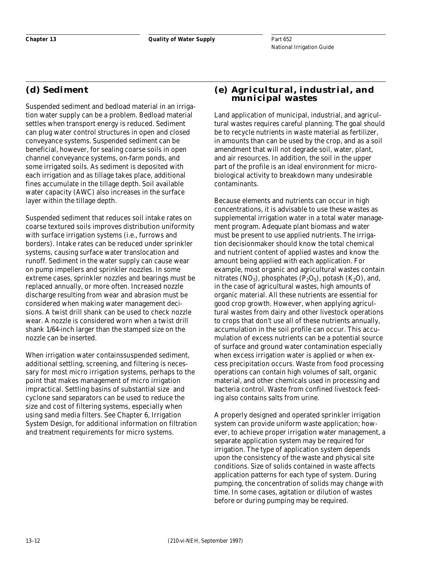## **(d) Sediment**

Suspended sediment and bedload material in an irrigation water supply can be a problem. Bedload material settles when transport energy is reduced. Sediment can plug water control structures in open and closed conveyance systems. Suspended sediment can be beneficial, however, for sealing coarse soils in open channel conveyance systems, on-farm ponds, and some irrigated soils. As sediment is deposited with each irrigation and as tillage takes place, additional fines accumulate in the tillage depth. Soil available water capacity (AWC) also increases in the surface layer within the tillage depth.

Suspended sediment that reduces soil intake rates on coarse textured soils improves distribution uniformity with surface irrigation systems (i.e., furrows and borders). Intake rates can be reduced under sprinkler systems, causing surface water translocation and runoff. Sediment in the water supply can cause wear on pump impellers and sprinkler nozzles. In some extreme cases, sprinkler nozzles and bearings must be replaced annually, or more often. Increased nozzle discharge resulting from wear and abrasion must be considered when making water management decisions. A twist drill shank can be used to check nozzle wear. A nozzle is considered worn when a twist drill shank 1/64-inch larger than the stamped size on the nozzle can be inserted.

When irrigation water containssuspended sediment, additional settling, screening, and filtering is necessary for most micro irrigation systems, perhaps to the point that makes management of micro irrigation impractical. Settling basins of substantial size and cyclone sand separators can be used to reduce the size and cost of filtering systems, especially when using sand media filters. See Chapter 6, Irrigation System Design, for additional information on filtration and treatment requirements for micro systems.

## **(e) Agricultural, industrial, and municipal wastes**

Land application of municipal, industrial, and agricultural wastes requires careful planning. The goal should be to recycle nutrients in waste material as fertilizer, in amounts than can be used by the crop, and as a soil amendment that will not degrade soil, water, plant, and air resources. In addition, the soil in the upper part of the profile is an ideal environment for microbiological activity to breakdown many undesirable contaminants.

Because elements and nutrients can occur in high concentrations, it is advisable to use these wastes as supplemental irrigation water in a total water management program. Adequate plant biomass and water must be present to use applied nutrients. The irrigation decisionmaker should know the total chemical and nutrient content of applied wastes and know the amount being applied with each application. For example, most organic and agricultural wastes contain nitrates (NO<sub>3</sub>), phosphates (P<sub>2</sub>O<sub>5</sub>), potash (K<sub>2</sub>O), and, in the case of agricultural wastes, high amounts of organic material. All these nutrients are essential for good crop growth. However, when applying agricultural wastes from dairy and other livestock operations to crops that don't use all of these nutrients annually, accumulation in the soil profile can occur. This accumulation of excess nutrients can be a potential source of surface and ground water contamination especially when excess irrigation water is applied or when excess precipitation occurs. Waste from food processing operations can contain high volumes of salt, organic material, and other chemicals used in processing and bacteria control. Waste from confined livestock feeding also contains salts from urine.

A properly designed and operated sprinkler irrigation system can provide uniform waste application; however, to achieve proper irrigation water management, a separate application system may be required for irrigation. The type of application system depends upon the consistency of the waste and physical site conditions. Size of solids contained in waste affects application patterns for each type of system. During pumping, the concentration of solids may change with time. In some cases, agitation or dilution of wastes before or during pumping may be required.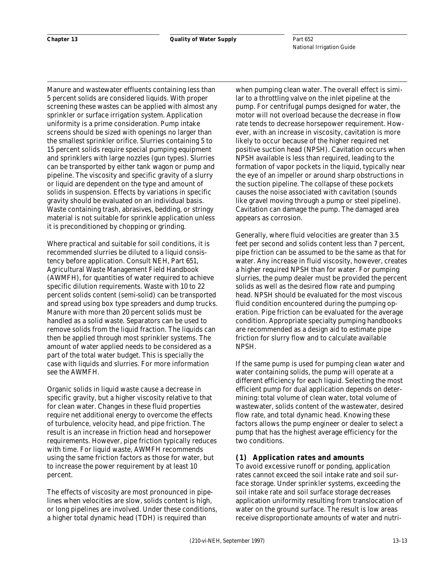Manure and wastewater effluents containing less than 5 percent solids are considered liquids. With proper screening these wastes can be applied with almost any sprinkler or surface irrigation system. Application uniformity is a prime consideration. Pump intake screens should be sized with openings no larger than the smallest sprinkler orifice. Slurries containing 5 to 15 percent solids require special pumping equipment and sprinklers with large nozzles (gun types). Slurries can be transported by either tank wagon or pump and pipeline. The viscosity and specific gravity of a slurry or liquid are dependent on the type and amount of solids in suspension. Effects by variations in specific gravity should be evaluated on an individual basis. Waste containing trash, abrasives, bedding, or stringy material is not suitable for sprinkle application unless it is preconditioned by chopping or grinding.

Where practical and suitable for soil conditions, it is recommended slurries be diluted to a liquid consistency before application. Consult NEH, Part 651, Agricultural Waste Management Field Handbook (AWMFH), for quantities of water required to achieve specific dilution requirements. Waste with 10 to 22 percent solids content (semi-solid) can be transported and spread using box type spreaders and dump trucks. Manure with more than 20 percent solids must be handled as a solid waste. Separators can be used to remove solids from the liquid fraction. The liquids can then be applied through most sprinkler systems. The amount of water applied needs to be considered as a part of the total water budget. This is specially the case with liquids and slurries. For more information see the AWMFH.

Organic solids in liquid waste cause a decrease in specific gravity, but a higher viscosity relative to that for clean water. Changes in these fluid properties require net additional energy to overcome the effects of turbulence, velocity head, and pipe friction. The result is an increase in friction head and horsepower requirements. However, pipe friction typically reduces with time. For liquid waste, AWMFH recommends using the same friction factors as those for water, but to increase the power requirement by at least 10 percent.

The effects of viscosity are most pronounced in pipelines when velocities are slow, solids content is high, or long pipelines are involved. Under these conditions, a higher total dynamic head (TDH) is required than

when pumping clean water. The overall effect is similar to a throttling valve on the inlet pipeline at the pump. For centrifugal pumps designed for water, the motor will not overload because the decrease in flow rate tends to decrease horsepower requirement. However, with an increase in viscosity, cavitation is more likely to occur because of the higher required net positive suction head (NPSH). Cavitation occurs when NPSH available is less than required, leading to the formation of vapor pockets in the liquid, typically near the eye of an impeller or around sharp obstructions in the suction pipeline. The collapse of these pockets causes the noise associated with cavitation (sounds like gravel moving through a pump or steel pipeline). Cavitation can damage the pump. The damaged area appears as corrosion.

Generally, where fluid velocities are greater than 3.5 feet per second and solids content less than 7 percent, pipe friction can be assumed to be the same as that for water. Any increase in fluid viscosity, however, creates a higher required NPSH than for water. For pumping slurries, the pump dealer must be provided the percent solids as well as the desired flow rate and pumping head. NPSH should be evaluated for the most viscous fluid condition encountered during the pumping operation. Pipe friction can be evaluated for the average condition. Appropriate specialty pumping handbooks are recommended as a design aid to estimate pipe friction for slurry flow and to calculate available NPSH.

If the same pump is used for pumping clean water and water containing solids, the pump will operate at a different efficiency for each liquid. Selecting the most efficient pump for dual application depends on determining: total volume of clean water, total volume of wastewater, solids content of the wastewater, desired flow rate, and total dynamic head. Knowing these factors allows the pump engineer or dealer to select a pump that has the highest average efficiency for the two conditions.

#### **(1) Application rates and amounts**

To avoid excessive runoff or ponding, application rates cannot exceed the soil intake rate and soil surface storage. Under sprinkler systems, exceeding the soil intake rate and soil surface storage decreases application uniformity resulting from translocation of water on the ground surface. The result is low areas receive disproportionate amounts of water and nutri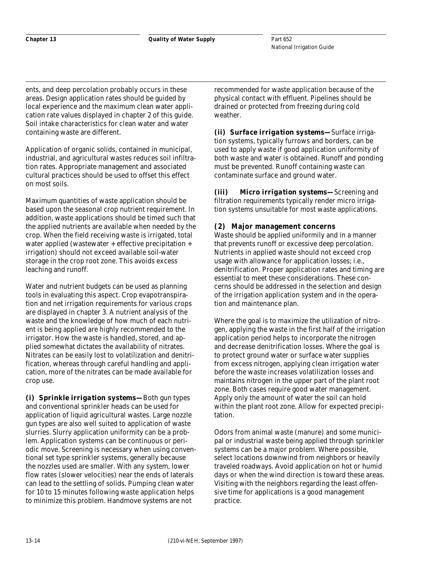**Chapter 13 Quality of Water Supply**

Part 652 National Irrigation Guide

ents, and deep percolation probably occurs in these areas. Design application rates should be guided by local experience and the maximum clean water application rate values displayed in chapter 2 of this guide. Soil intake characteristics for clean water and water containing waste are different.

Application of organic solids, contained in municipal, industrial, and agricultural wastes reduces soil infiltration rates. Appropriate management and associated cultural practices should be used to offset this effect on most soils.

Maximum quantities of waste application should be based upon the seasonal crop nutrient requirement. In addition, waste applications should be timed such that the applied nutrients are available when needed by the crop. When the field receiving waste is irrigated, total water applied (wastewater + effective precipitation + irrigation) should not exceed available soil-water storage in the crop root zone. This avoids excess leaching and runoff.

Water and nutrient budgets can be used as planning tools in evaluating this aspect. Crop evapotranspiration and net irrigation requirements for various crops are displayed in chapter 3. A nutrient analysis of the waste and the knowledge of how much of each nutrient is being applied are highly recommended to the irrigator. How the waste is handled, stored, and applied somewhat dictates the availability of nitrates. Nitrates can be easily lost to volatilization and denitrification, whereas through careful handling and application, more of the nitrates can be made available for crop use.

*(i) Sprinkle irrigation systems—*Both gun types and conventional sprinkler heads can be used for application of liquid agricultural wastes. Large nozzle gun types are also well suited to application of waste slurries. Slurry application uniformity can be a problem. Application systems can be continuous or periodic move. Screening is necessary when using conventional set type sprinkler systems, generally because the nozzles used are smaller. With any system, lower flow rates (slower velocities) near the ends of laterals can lead to the settling of solids. Pumping clean water for 10 to 15 minutes following waste application helps to minimize this problem. Handmove systems are not

recommended for waste application because of the physical contact with effluent. Pipelines should be drained or protected from freezing during cold weather.

*(ii) Surface irrigation systems—*Surface irrigation systems, typically furrows and borders, can be used to apply waste if good application uniformity of both waste and water is obtained. Runoff and ponding must be prevented. Runoff containing waste can contaminate surface and ground water.

*(iii) Micro irrigation systems—*Screening and filtration requirements typically render micro irrigation systems unsuitable for most waste applications.

## **(2) Major management concerns**

Waste should be applied uniformily and in a manner that prevents runoff or excessive deep percolation. Nutrients in applied waste should not exceed crop usage with allowance for application losses; i.e., denitrification. Proper application rates and timing are essential to meet these considerations. These concerns should be addressed in the selection and design of the irrigation application system and in the operation and maintenance plan.

Where the goal is to maximize the utilization of nitrogen, applying the waste in the first half of the irrigation application period helps to incorporate the nitrogen and decrease denitrification losses. Where the goal is to protect ground water or surface water supplies from excess nitrogen, applying clean irrigation water before the waste increases volatilization losses and maintains nitrogen in the upper part of the plant root zone. Both cases require good water management. Apply only the amount of water the soil can hold within the plant root zone. Allow for expected precipitation.

Odors from animal waste (manure) and some municipal or industrial waste being applied through sprinkler systems can be a major problem. Where possible, select locations downwind from neighbors or heavily traveled roadways. Avoid application on hot or humid days or when the wind direction is toward these areas. Visiting with the neighbors regarding the least offensive time for applications is a good management practice.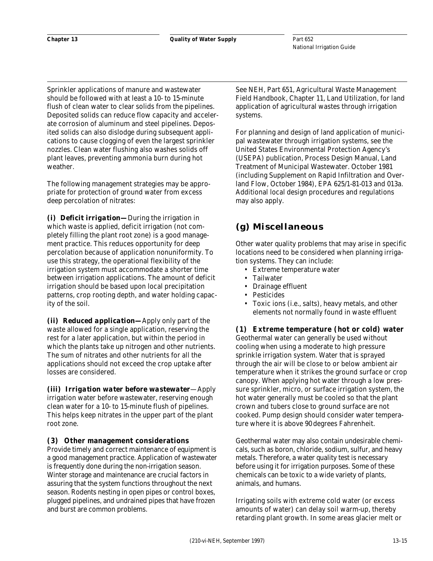Sprinkler applications of manure and wastewater should be followed with at least a 10- to 15-minute flush of clean water to clear solids from the pipelines. Deposited solids can reduce flow capacity and accelerate corrosion of aluminum and steel pipelines. Deposited solids can also dislodge during subsequent applications to cause clogging of even the largest sprinkler nozzles. Clean water flushing also washes solids off plant leaves, preventing ammonia burn during hot weather.

The following management strategies may be appropriate for protection of ground water from excess deep percolation of nitrates:

*(i) Deficit irrigation—*During the irrigation in which waste is applied, deficit irrigation (not completely filling the plant root zone) is a good management practice. This reduces opportunity for deep percolation because of application nonuniformity. To use this strategy, the operational flexibility of the irrigation system must accommodate a shorter time between irrigation applications. The amount of deficit irrigation should be based upon local precipitation patterns, crop rooting depth, and water holding capacity of the soil.

*(ii) Reduced application—*Apply only part of the waste allowed for a single application, reserving the rest for a later application, but within the period in which the plants take up nitrogen and other nutrients. The sum of nitrates and other nutrients for all the applications should not exceed the crop uptake after losses are considered.

*(iii) Irrigation water before wastewater*—Apply irrigation water before wastewater, reserving enough clean water for a 10- to 15-minute flush of pipelines. This helps keep nitrates in the upper part of the plant root zone.

#### **(3) Other management considerations**

Provide timely and correct maintenance of equipment is a good management practice. Application of wastewater is frequently done during the non-irrigation season. Winter storage and maintenance are crucial factors in assuring that the system functions throughout the next season. Rodents nesting in open pipes or control boxes, plugged pipelines, and undrained pipes that have frozen and burst are common problems.

See NEH, Part 651, Agricultural Waste Management Field Handbook, Chapter 11, Land Utilization, for land application of agricultural wastes through irrigation systems.

For planning and design of land application of municipal wastewater through irrigation systems, see the United States Environmental Protection Agency's (USEPA) publication, Process Design Manual, Land Treatment of Municipal Wastewater. October 1981 (including Supplement on Rapid Infiltration and Overland Flow, October 1984), EPA 625/1-81-013 and 013a. Additional local design procedures and regulations may also apply.

## **(g) Miscellaneous**

Other water quality problems that may arise in specific locations need to be considered when planning irrigation systems. They can include:

- Extreme temperature water
- Tailwater
- Drainage effluent
- Pesticides
- Toxic ions (i.e., salts), heavy metals, and other elements not normally found in waste effluent

**(1) Extreme temperature (hot or cold) water** Geothermal water can generally be used without cooling when using a moderate to high pressure sprinkle irrigation system. Water that is sprayed through the air will be close to or below ambient air temperature when it strikes the ground surface or crop canopy. When applying hot water through a low pressure sprinkler, micro, or surface irrigation system, the hot water generally must be cooled so that the plant crown and tubers close to ground surface are not cooked. Pump design should consider water temperature where it is above 90 degrees Fahrenheit.

Geothermal water may also contain undesirable chemicals, such as boron, chloride, sodium, sulfur, and heavy metals. Therefore, a water quality test is necessary before using it for irrigation purposes. Some of these chemicals can be toxic to a wide variety of plants, animals, and humans.

Irrigating soils with extreme cold water (or excess amounts of water) can delay soil warm-up, thereby retarding plant growth. In some areas glacier melt or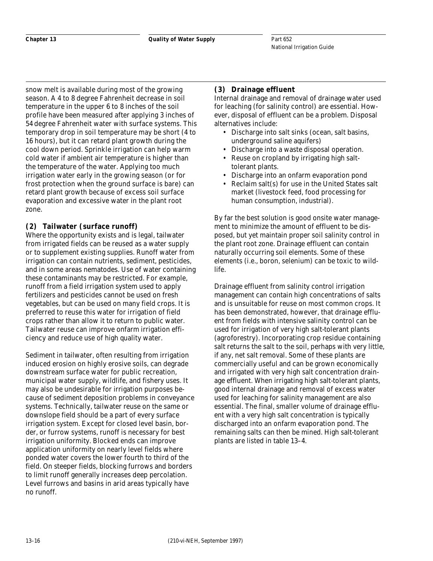snow melt is available during most of the growing season. A 4 to 8 degree Fahrenheit decrease in soil temperature in the upper 6 to 8 inches of the soil profile have been measured after applying 3 inches of 54 degree Fahrenheit water with surface systems. This temporary drop in soil temperature may be short (4 to 16 hours), but it can retard plant growth during the cool down period. Sprinkle irrigation can help warm cold water if ambient air temperature is higher than the temperature of the water. Applying too much irrigation water early in the growing season (or for frost protection when the ground surface is bare) can retard plant growth because of excess soil surface evaporation and excessive water in the plant root zone.

## **(2) Tailwater (surface runoff)**

Where the opportunity exists and is legal, tailwater from irrigated fields can be reused as a water supply or to supplement existing supplies. Runoff water from irrigation can contain nutrients, sediment, pesticides, and in some areas nematodes. Use of water containing these contaminants may be restricted. For example, runoff from a field irrigation system used to apply fertilizers and pesticides cannot be used on fresh vegetables, but can be used on many field crops. It is preferred to reuse this water for irrigation of field crops rather than allow it to return to public water. Tailwater reuse can improve onfarm irrigation efficiency and reduce use of high quality water.

Sediment in tailwater, often resulting from irrigation induced erosion on highly erosive soils, can degrade downstream surface water for public recreation, municipal water supply, wildlife, and fishery uses. It may also be undesirable for irrigation purposes because of sediment deposition problems in conveyance systems. Technically, tailwater reuse on the same or downslope field should be a part of every surface irrigation system. Except for closed level basin, border, or furrow systems, runoff is necessary for best irrigation uniformity. Blocked ends can improve application uniformity on nearly level fields where ponded water covers the lower fourth to third of the field. On steeper fields, blocking furrows and borders to limit runoff generally increases deep percolation. Level furrows and basins in arid areas typically have no runoff.

## **(3) Drainage effluent**

Internal drainage and removal of drainage water used for leaching (for salinity control) are essential. However, disposal of effluent can be a problem. Disposal alternatives include:

- Discharge into salt sinks (ocean, salt basins, underground saline aquifers)
- Discharge into a waste disposal operation.
- Reuse on cropland by irrigating high salttolerant plants.
- Discharge into an onfarm evaporation pond
- Reclaim salt(s) for use in the United States salt market (livestock feed, food processing for human consumption, industrial).

By far the best solution is good onsite water management to minimize the amount of effluent to be disposed, but yet maintain proper soil salinity control in the plant root zone. Drainage effluent can contain naturally occurring soil elements. Some of these elements (i.e., boron, selenium) can be toxic to wildlife.

Drainage effluent from salinity control irrigation management can contain high concentrations of salts and is unsuitable for reuse on most common crops. It has been demonstrated, however, that drainage effluent from fields with intensive salinity control can be used for irrigation of very high salt-tolerant plants (agroforestry). Incorporating crop residue containing salt returns the salt to the soil, perhaps with very little, if any, net salt removal. Some of these plants are commercially useful and can be grown economically and irrigated with very high salt concentration drainage effluent. When irrigating high salt-tolerant plants, good internal drainage and removal of excess water used for leaching for salinity management are also essential. The final, smaller volume of drainage effluent with a very high salt concentration is typically discharged into an onfarm evaporation pond. The remaining salts can then be mined. High salt-tolerant plants are listed in table 13–4.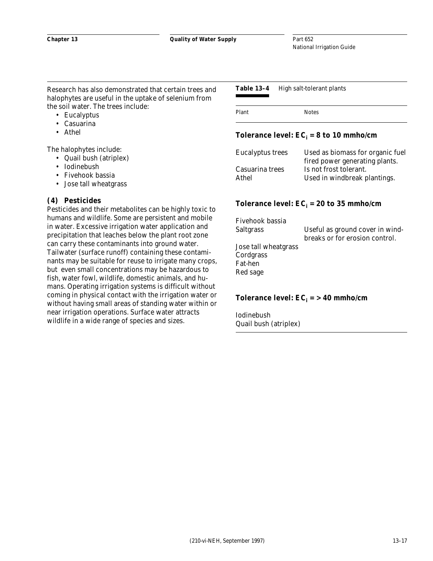Research has also demonstrated that certain trees and halophytes are useful in the uptake of selenium from the soil water. The trees include:

- Eucalyptus
- Casuarina
- Athel

The halophytes include:

- Quail bush (atriplex)
- Iodinebush
- Fivehook bassia
- Jose tall wheatgrass

#### **(4) Pesticides**

Pesticides and their metabolites can be highly toxic to humans and wildlife. Some are persistent and mobile in water. Excessive irrigation water application and precipitation that leaches below the plant root zone can carry these contaminants into ground water. Tailwater (surface runoff) containing these contaminants may be suitable for reuse to irrigate many crops, but even small concentrations may be hazardous to fish, water fowl, wildlife, domestic animals, and humans. Operating irrigation systems is difficult without coming in physical contact with the irrigation water or without having small areas of standing water within or near irrigation operations. Surface water attracts wildlife in a wide range of species and sizes.

#### **Table 13–4** High salt-tolerant plants

| Plant | <b>Notes</b> |
|-------|--------------|
|       |              |

#### **Tolerance level:**  $EC_i = 8$  **to 10 mmho/cm**

| <b>Eucalyptus trees</b> | Used as biomass for organic fuel |
|-------------------------|----------------------------------|
|                         | fired power generating plants.   |
| Casuarina trees         | Is not frost tolerant.           |
| Athel                   | Used in windbreak plantings.     |

#### Tolerance level:  $EC_i = 20$  to 35 mmho/cm

| Fivehook bassia<br><b>Saltgrass</b> | Useful as ground cover in wind-<br>breaks or for erosion control. |
|-------------------------------------|-------------------------------------------------------------------|
| Jose tall wheatgrass<br>Cordgrass   |                                                                   |
| Fat-hen<br>Red sage                 |                                                                   |

#### **Tolerance level:**  $EC_i = > 40$  mmho/cm

Iodinebush Quail bush (atriplex)